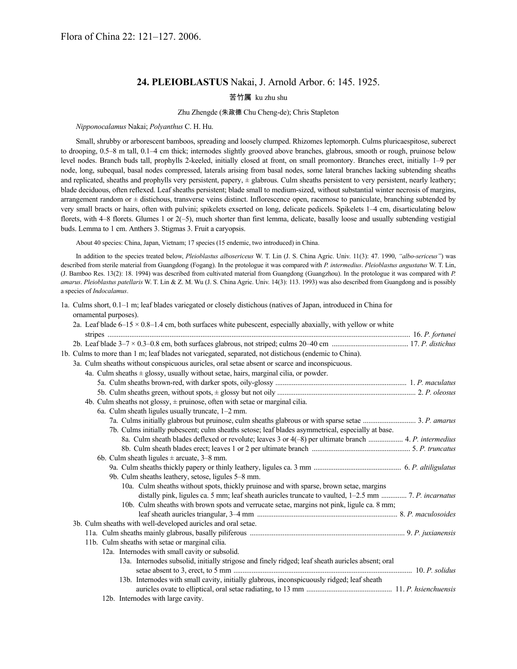# **24. PLEIOBLASTUS** Nakai, J. Arnold Arbor. 6: 145. 1925.

# 苦竹属 ku zhu shu

## Zhu Zhengde (朱政德 Chu Cheng-de); Chris Stapleton

### *Nipponocalamus* Nakai; *Polyanthus* C. H. Hu.

Small, shrubby or arborescent bamboos, spreading and loosely clumped. Rhizomes leptomorph. Culms pluricaespitose, suberect to drooping, 0.5–8 m tall, 0.1–4 cm thick; internodes slightly grooved above branches, glabrous, smooth or rough, pruinose below level nodes. Branch buds tall, prophylls 2-keeled, initially closed at front, on small promontory. Branches erect, initially 1–9 per node, long, subequal, basal nodes compressed, laterals arising from basal nodes, some lateral branches lacking subtending sheaths and replicated, sheaths and prophylls very persistent, papery,  $\pm$  glabrous. Culm sheaths persistent to very persistent, nearly leathery; blade deciduous, often reflexed. Leaf sheaths persistent; blade small to medium-sized, without substantial winter necrosis of margins, arrangement random or  $\pm$  distichous, transverse veins distinct. Inflorescence open, racemose to paniculate, branching subtended by very small bracts or hairs, often with pulvini; spikelets exserted on long, delicate pedicels. Spikelets 1–4 cm, disarticulating below florets, with 4–8 florets. Glumes 1 or 2(–5), much shorter than first lemma, delicate, basally loose and usually subtending vestigial buds. Lemma to 1 cm. Anthers 3. Stigmas 3. Fruit a caryopsis.

About 40 species: China, Japan, Vietnam; 17 species (15 endemic, two introduced) in China.

In addition to the species treated below, *Pleioblastus albosericeus* W. T. Lin (J. S. China Agric. Univ. 11(3): 47. 1990, *"albo-sericeus"*) was described from sterile material from Guangdong (Fogang). In the protologue it was compared with *P. intermedius*. *Pleioblastus angustatus* W. T. Lin, (J. Bamboo Res. 13(2): 18. 1994) was described from cultivated material from Guangdong (Guangzhou). In the protologue it was compared with *P. amarus*. *Pleioblastus patellaris* W. T. Lin & Z. M. Wu (J. S. China Agric. Univ. 14(3): 113. 1993) was also described from Guangdong and is possibly a species of *Indocalamus*.

1a. Culms short, 0.1–1 m; leaf blades variegated or closely distichous (natives of Japan, introduced in China for ornamental purposes).

|  | 2a. Leaf blade $6-15 \times 0.8-1.4$ cm, both surfaces white pubescent, especially abaxially, with yellow or white |  |
|--|--------------------------------------------------------------------------------------------------------------------|--|
|  |                                                                                                                    |  |
|  |                                                                                                                    |  |
|  | 1b. Culms to more than 1 m; leaf blades not variegated, separated, not distichous (endemic to China).              |  |
|  | 3a. Culm sheaths without conspicuous auricles, oral setae absent or scarce and inconspicuous.                      |  |
|  | 4a. Culm sheaths $\pm$ glossy, usually without setae, hairs, marginal cilia, or powder.                            |  |
|  |                                                                                                                    |  |
|  |                                                                                                                    |  |
|  | 4b. Culm sheaths not glossy, $\pm$ pruinose, often with setae or marginal cilia.                                   |  |
|  | 6a. Culm sheath ligules usually truncate, 1–2 mm.                                                                  |  |
|  |                                                                                                                    |  |
|  | 7b. Culms initially pubescent; culm sheaths setose; leaf blades asymmetrical, especially at base.                  |  |
|  | 8a. Culm sheath blades deflexed or revolute; leaves 3 or 4(-8) per ultimate branch  4. P. intermedius              |  |
|  |                                                                                                                    |  |
|  | 6b. Culm sheath ligules $\pm$ arcuate, 3–8 mm.                                                                     |  |
|  |                                                                                                                    |  |
|  | 9b. Culm sheaths leathery, setose, ligules 5-8 mm.                                                                 |  |
|  | 10a. Culm sheaths without spots, thickly pruinose and with sparse, brown setae, margins                            |  |
|  | distally pink, ligules ca. 5 mm; leaf sheath auricles truncate to vaulted, 1-2.5 mm  7. P. incarnatus              |  |
|  | 10b. Culm sheaths with brown spots and verrucate setae, margins not pink, ligule ca. 8 mm;                         |  |
|  |                                                                                                                    |  |
|  | 3b. Culm sheaths with well-developed auricles and oral setae.                                                      |  |
|  |                                                                                                                    |  |
|  | 11b. Culm sheaths with setae or marginal cilia.                                                                    |  |
|  | 12a. Internodes with small cavity or subsolid.                                                                     |  |
|  | 13a. Internodes subsolid, initially strigose and finely ridged; leaf sheath auricles absent; oral                  |  |
|  |                                                                                                                    |  |
|  | 13b. Internodes with small cavity, initially glabrous, inconspicuously ridged; leaf sheath                         |  |
|  |                                                                                                                    |  |
|  | 12b. Internodes with large cavity.                                                                                 |  |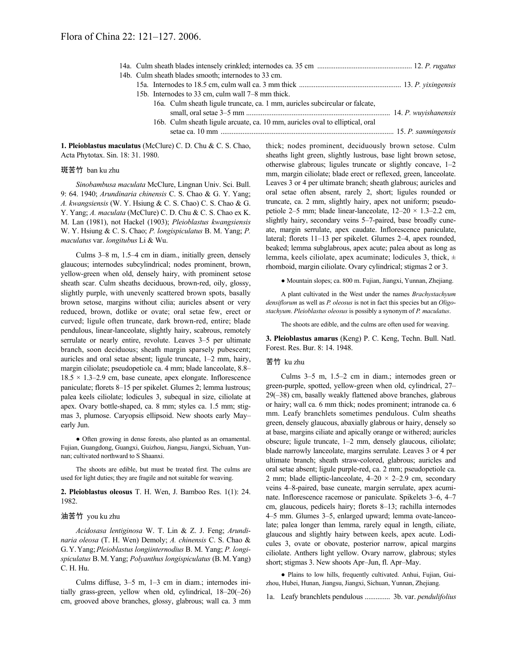| 14b. Culm sheath blades smooth; internodes to 33 cm.                          |  |
|-------------------------------------------------------------------------------|--|
|                                                                               |  |
| 15b. Internodes to 33 cm, culm wall 7–8 mm thick.                             |  |
| 16a. Culm sheath ligule truncate, ca. 1 mm, auricles subcircular or falcate,  |  |
|                                                                               |  |
| 16b. Culm sheath ligule arcuate, ca. 10 mm, auricles oval to elliptical, oral |  |
|                                                                               |  |
|                                                                               |  |

**1. Pleioblastus maculatus** (McClure) C. D. Chu & C. S. Chao, Acta Phytotax. Sin. 18: 31. 1980.

### 斑苦竹 ban ku zhu

*Sinobambusa maculata* McClure, Lingnan Univ. Sci. Bull. 9: 64. 1940; *Arundinaria chinensis* C. S. Chao & G. Y. Yang; *A. kwangsiensis* (W. Y. Hsiung & C. S. Chao) C. S. Chao & G. Y. Yang; *A. maculata* (McClure) C. D. Chu & C. S. Chao ex K. M. Lan (1981), not Hackel (1903); *Pleioblastus kwangsiensis* W. Y. Hsiung & C. S. Chao; *P. longispiculatus* B. M. Yang; *P. maculatus* var. *longitubus* Li & Wu.

Culms 3–8 m, 1.5–4 cm in diam., initially green, densely glaucous; internodes subcylindrical; nodes prominent, brown, yellow-green when old, densely hairy, with prominent setose sheath scar. Culm sheaths deciduous, brown-red, oily, glossy, slightly purple, with unevenly scattered brown spots, basally brown setose, margins without cilia; auricles absent or very reduced, brown, dotlike or ovate; oral setae few, erect or curved; ligule often truncate, dark brown-red, entire; blade pendulous, linear-lanceolate, slightly hairy, scabrous, remotely serrulate or nearly entire, revolute. Leaves 3–5 per ultimate branch, soon deciduous; sheath margin sparsely pubescent; auricles and oral setae absent; ligule truncate, 1–2 mm, hairy, margin ciliolate; pseudopetiole ca. 4 mm; blade lanceolate, 8.8–  $18.5 \times 1.3{\text -}2.9$  cm, base cuneate, apex elongate. Inflorescence paniculate; florets 8–15 per spikelet. Glumes 2; lemma lustrous; palea keels ciliolate; lodicules 3, subequal in size, ciliolate at apex. Ovary bottle-shaped, ca. 8 mm; styles ca. 1.5 mm; stigmas 3, plumose. Caryopsis ellipsoid. New shoots early May– early Jun.

● Often growing in dense forests, also planted as an ornamental. Fujian, Guangdong, Guangxi, Guizhou, Jiangsu, Jiangxi, Sichuan, Yunnan; cultivated northward to S Shaanxi.

The shoots are edible, but must be treated first. The culms are used for light duties; they are fragile and not suitable for weaving.

**2. Pleioblastus oleosus** T. H. Wen, J. Bamboo Res. 1(1): 24. 1982.

#### 油苦竹 you ku zhu

*Acidosasa lentiginosa* W. T. Lin & Z. J. Feng; *Arundinaria oleosa* (T. H. Wen) Demoly; *A. chinensis* C. S. Chao & G.Y.Yang;*Pleioblastus longiinternodius* B. M. Yang; *P. longispiculatus* B.M.Yang; *Polyanthus longispiculatus* (B.M.Yang) C. H. Hu.

Culms diffuse, 3–5 m, 1–3 cm in diam.; internodes initially grass-green, yellow when old, cylindrical, 18–20(–26) cm, grooved above branches, glossy, glabrous; wall ca. 3 mm thick; nodes prominent, deciduously brown setose. Culm sheaths light green, slightly lustrous, base light brown setose, otherwise glabrous; ligules truncate or slightly concave, 1–2 mm, margin ciliolate; blade erect or reflexed, green, lanceolate. Leaves 3 or 4 per ultimate branch; sheath glabrous; auricles and oral setae often absent, rarely 2, short; ligules rounded or truncate, ca. 2 mm, slightly hairy, apex not uniform; pseudopetiole 2–5 mm; blade linear-lanceolate,  $12-20 \times 1.3-2.2$  cm, slightly hairy, secondary veins 5–7-paired, base broadly cuneate, margin serrulate, apex caudate. Inflorescence paniculate, lateral; florets 11–13 per spikelet. Glumes 2–4, apex rounded, beaked; lemma subglabrous, apex acute; palea about as long as lemma, keels ciliolate, apex acuminate; lodicules 3, thick, ± rhomboid, margin ciliolate. Ovary cylindrical; stigmas 2 or 3.

● Mountain slopes; ca. 800 m. Fujian, Jiangxi, Yunnan, Zhejiang.

A plant cultivated in the West under the names *Brachystachyum densiflorum* as well as *P. oleosus* is not in fact this species but an *Oligostachyum*. *Pleioblastus oleosus* is possibly a synonym of *P. maculatus*.

The shoots are edible, and the culms are often used for weaving.

**3. Pleioblastus amarus** (Keng) P. C. Keng, Techn. Bull. Natl. Forest. Res. Bur. 8: 14. 1948.

### 苦竹 ku zhu

Culms 3–5 m, 1.5–2 cm in diam.; internodes green or green-purple, spotted, yellow-green when old, cylindrical, 27– 29(–38) cm, basally weakly flattened above branches, glabrous or hairy; wall ca. 6 mm thick; nodes prominent; intranode ca. 6 mm. Leafy branchlets sometimes pendulous. Culm sheaths green, densely glaucous, abaxially glabrous or hairy, densely so at base, margins ciliate and apically orange or withered; auricles obscure; ligule truncate, 1–2 mm, densely glaucous, ciliolate; blade narrowly lanceolate, margins serrulate. Leaves 3 or 4 per ultimate branch; sheath straw-colored, glabrous; auricles and oral setae absent; ligule purple-red, ca. 2 mm; pseudopetiole ca. 2 mm; blade elliptic-lanceolate,  $4-20 \times 2-2.9$  cm, secondary veins 4–8-paired, base cuneate, margin serrulate, apex acuminate. Inflorescence racemose or paniculate. Spikelets 3–6, 4–7 cm, glaucous, pedicels hairy; florets 8–13; rachilla internodes 4–5 mm. Glumes 3–5, enlarged upward; lemma ovate-lanceolate; palea longer than lemma, rarely equal in length, ciliate, glaucous and slightly hairy between keels, apex acute. Lodicules 3, ovate or obovate, posterior narrow, apical margins ciliolate. Anthers light yellow. Ovary narrow, glabrous; styles short; stigmas 3. New shoots Apr–Jun, fl. Apr–May.

● Plains to low hills, frequently cultivated. Anhui, Fujian, Guizhou, Hubei, Hunan, Jiangsu, Jiangxi, Sichuan, Yunnan, Zhejiang.

1a. Leafy branchlets pendulous .............. 3b. var. *pendulifolius*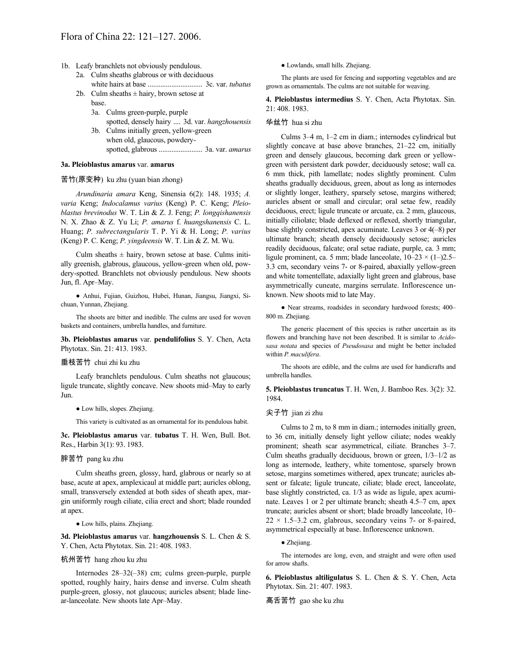- 1b. Leafy branchlets not obviously pendulous.
	- 2a. Culm sheaths glabrous or with deciduous white hairs at base .............................. 3c. var. *tubatus*
	- 2b. Culm sheaths  $\pm$  hairy, brown setose at base.
		- 3a. Culms green-purple, purple spotted, densely hairy .... 3d. var. *hangzhouensis*
		- 3b. Culms initially green, yellow-green when old, glaucous, powderyspotted, glabrous ........................ 3a. var. *amarus*

#### **3a. Pleioblastus amarus** var. **amarus**

#### 苦竹(原变种) ku zhu (yuan bian zhong)

*Arundinaria amara* Keng, Sinensia 6(2): 148. 1935; *A. varia* Keng; *Indocalamus varius* (Keng) P. C. Keng; *Pleioblastus brevinodus* W. T. Lin & Z. J. Feng; *P. longqishanensis* N. X. Zhao & Z. Yu Li; *P. amarus* f. *huangshanensis* C. L. Huang; *P. subrectangularis* T. P. Yi & H. Long; *P. varius* (Keng) P. C. Keng; *P. yingdeensis* W. T. Lin & Z. M. Wu.

Culm sheaths  $\pm$  hairy, brown setose at base. Culms initially greenish, glabrous, glaucous, yellow-green when old, powdery-spotted. Branchlets not obviously pendulous. New shoots Jun, fl. Apr–May.

● Anhui, Fujian, Guizhou, Hubei, Hunan, Jiangsu, Jiangxi, Sichuan, Yunnan, Zhejiang.

The shoots are bitter and inedible. The culms are used for woven baskets and containers, umbrella handles, and furniture.

**3b. Pleioblastus amarus** var. **pendulifolius** S. Y. Chen, Acta Phytotax. Sin. 21: 413. 1983.

### 垂枝苦竹 chui zhi ku zhu

Leafy branchlets pendulous. Culm sheaths not glaucous; ligule truncate, slightly concave. New shoots mid–May to early Jun.

#### ● Low hills, slopes. Zhejiang.

This variety is cultivated as an ornamental for its pendulous habit.

**3c. Pleioblastus amarus** var. **tubatus** T. H. Wen, Bull. Bot. Res., Harbin 3(1): 93. 1983.

# 胖苦竹 pang ku zhu

Culm sheaths green, glossy, hard, glabrous or nearly so at base, acute at apex, amplexicaul at middle part; auricles oblong, small, transversely extended at both sides of sheath apex, margin uniformly rough ciliate, cilia erect and short; blade rounded at apex.

#### ● Low hills, plains. Zhejiang.

**3d. Pleioblastus amarus** var. **hangzhouensis** S. L. Chen & S. Y. Chen, Acta Phytotax. Sin. 21: 408. 1983.

#### 杭州苦竹 hang zhou ku zhu

Internodes 28–32(–38) cm; culms green-purple, purple spotted, roughly hairy, hairs dense and inverse. Culm sheath purple-green, glossy, not glaucous; auricles absent; blade linear-lanceolate. New shoots late Apr–May.

● Lowlands, small hills. Zhejiang.

The plants are used for fencing and supporting vegetables and are grown as ornamentals. The culms are not suitable for weaving.

**4. Pleioblastus intermedius** S. Y. Chen, Acta Phytotax. Sin. 21: 408. 1983.

#### 华丝竹 hua si zhu

Culms 3–4 m, 1–2 cm in diam.; internodes cylindrical but slightly concave at base above branches, 21–22 cm, initially green and densely glaucous, becoming dark green or yellowgreen with persistent dark powder, deciduously setose; wall ca. 6 mm thick, pith lamellate; nodes slightly prominent. Culm sheaths gradually deciduous, green, about as long as internodes or slightly longer, leathery, sparsely setose, margins withered; auricles absent or small and circular; oral setae few, readily deciduous, erect; ligule truncate or arcuate, ca. 2 mm, glaucous, initially ciliolate; blade deflexed or reflexed, shortly triangular, base slightly constricted, apex acuminate. Leaves 3 or 4(–8) per ultimate branch; sheath densely deciduously setose; auricles readily deciduous, falcate; oral setae radiate, purple, ca. 3 mm; ligule prominent, ca. 5 mm; blade lanceolate,  $10-23 \times (1-)2.5-$ 3.3 cm, secondary veins 7- or 8-paired, abaxially yellow-green and white tomentellate, adaxially light green and glabrous, base asymmetrically cuneate, margins serrulate. Inflorescence unknown. New shoots mid to late May.

● Near streams, roadsides in secondary hardwood forests; 400– 800 m. Zhejiang.

The generic placement of this species is rather uncertain as its flowers and branching have not been described. It is similar to *Acidosasa notata* and species of *Pseudosasa* and might be better included within *P. maculifera*.

The shoots are edible, and the culms are used for handicrafts and umbrella handles.

**5. Pleioblastus truncatus** T. H. Wen, J. Bamboo Res. 3(2): 32. 1984.

# 尖子竹 jian zi zhu

Culms to 2 m, to 8 mm in diam.; internodes initially green, to 36 cm, initially densely light yellow ciliate; nodes weakly prominent; sheath scar asymmetrical, ciliate. Branches 3–7. Culm sheaths gradually deciduous, brown or green, 1/3–1/2 as long as internode, leathery, white tomentose, sparsely brown setose, margins sometimes withered, apex truncate; auricles absent or falcate; ligule truncate, ciliate; blade erect, lanceolate, base slightly constricted, ca. 1/3 as wide as ligule, apex acuminate. Leaves 1 or 2 per ultimate branch; sheath 4.5–7 cm, apex truncate; auricles absent or short; blade broadly lanceolate, 10–  $22 \times 1.5 - 3.2$  cm, glabrous, secondary veins 7- or 8-paired, asymmetrical especially at base. Inflorescence unknown.

#### ● Zhejiang.

The internodes are long, even, and straight and were often used for arrow shafts.

**6. Pleioblastus altiligulatus** S. L. Chen & S. Y. Chen, Acta Phytotax. Sin. 21: 407. 1983.

### 高舌苦竹 gao she ku zhu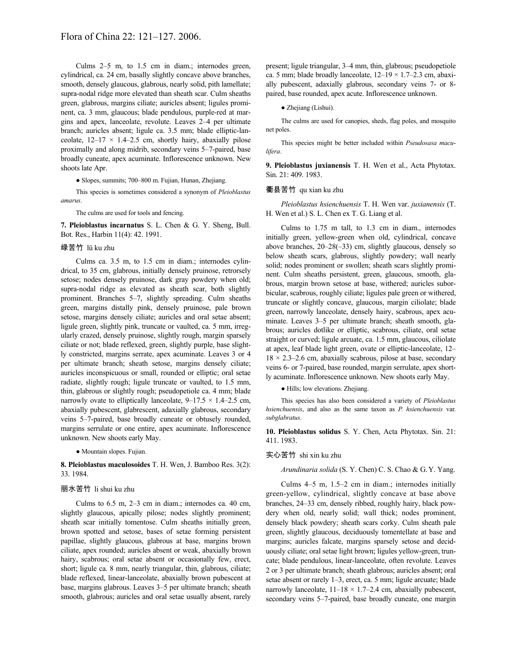Culms 2–5 m, to 1.5 cm in diam.; internodes green, cylindrical, ca. 24 cm, basally slightly concave above branches, smooth, densely glaucous, glabrous, nearly solid, pith lamellate; supra-nodal ridge more elevated than sheath scar. Culm sheaths green, glabrous, margins ciliate; auricles absent; ligules prominent, ca. 3 mm, glaucous; blade pendulous, purple-red at margins and apex, lanceolate, revolute. Leaves 2–4 per ultimate branch; auricles absent; ligule ca. 3.5 mm; blade elliptic-lanceolate,  $12-17 \times 1.4-2.5$  cm, shortly hairy, abaxially pilose proximally and along midrib, secondary veins 5–7-paired, base broadly cuneate, apex acuminate. Inflorescence unknown. New shoots late Apr.

● Slopes, summits; 700–800 m. Fujian, Hunan, Zhejiang.

This species is sometimes considered a synonym of *Pleioblastus amarus*.

The culms are used for tools and fencing.

**7. Pleioblastus incarnatus** S. L. Chen & G. Y. Sheng, Bull. Bot. Res., Harbin 11(4): 42. 1991.

### 绿苦竹 lü ku zhu

Culms ca. 3.5 m, to 1.5 cm in diam.; internodes cylindrical, to 35 cm, glabrous, initially densely pruinose, retrorsely setose; nodes densely pruinose, dark gray powdery when old; supra-nodal ridge as elevated as sheath scar, both slightly prominent. Branches 5–7, slightly spreading. Culm sheaths green, margins distally pink, densely pruinose, pale brown setose, margins densely ciliate; auricles and oral setae absent; ligule green, slightly pink, truncate or vaulted, ca. 5 mm, irregularly crazed, densely pruinose, slightly rough, margin sparsely ciliate or not; blade reflexed, green, slightly purple, base slightly constricted, margins serrate, apex acuminate. Leaves 3 or 4 per ultimate branch; sheath setose, margins densely ciliate; auricles inconspicuous or small, rounded or elliptic; oral setae radiate, slightly rough; ligule truncate or vaulted, to 1.5 mm, thin, glabrous or slightly rough; pseudopetiole ca. 4 mm; blade narrowly ovate to elliptically lanceolate,  $9-17.5 \times 1.4-2.5$  cm, abaxially pubescent, glabrescent, adaxially glabrous, secondary veins 5–7-paired, base broadly cuneate or obtusely rounded, margins serrulate or one entire, apex acuminate. Inflorescence unknown. New shoots early May.

● Mountain slopes. Fujian.

**8. Pleioblastus maculosoides** T. H. Wen, J. Bamboo Res. 3(2): 33. 1984.

# 丽水苦竹 li shui ku zhu

Culms to 6.5 m, 2–3 cm in diam.; internodes ca. 40 cm, slightly glaucous, apically pilose; nodes slightly prominent; sheath scar initially tomentose. Culm sheaths initially green, brown spotted and setose, bases of setae forming persistent papillae, slightly glaucous, glabrous at base, margins brown ciliate, apex rounded; auricles absent or weak, abaxially brown hairy, scabrous; oral setae absent or occasionally few, erect, short; ligule ca. 8 mm, nearly triangular, thin, glabrous, ciliate; blade reflexed, linear-lanceolate, abaxially brown pubescent at base, margins glabrous. Leaves 3–5 per ultimate branch; sheath smooth, glabrous; auricles and oral setae usually absent, rarely present; ligule triangular, 3–4 mm, thin, glabrous; pseudopetiole ca. 5 mm; blade broadly lanceolate,  $12-19 \times 1.7-2.3$  cm, abaxially pubescent, adaxially glabrous, secondary veins 7- or 8 paired, base rounded, apex acute. Inflorescence unknown.

● Zhejiang (Lishui).

The culms are used for canopies, sheds, flag poles, and mosquito net poles.

This species might be better included within *Pseudosasa maculifera*.

**9. Pleioblastus juxianensis** T. H. Wen et al., Acta Phytotax. Sin. 21: 409. 1983.

#### 衢县苦竹 qu xian ku zhu

*Pleioblastus hsienchuensis* T. H. Wen var. *juxianensis* (T. H. Wen et al.) S. L. Chen ex T. G. Liang et al.

Culms to 1.75 m tall, to 1.3 cm in diam., internodes initially green, yellow-green when old, cylindrical, concave above branches, 20–28(–33) cm, slightly glaucous, densely so below sheath scars, glabrous, slightly powdery; wall nearly solid; nodes prominent or swollen; sheath scars slightly prominent. Culm sheaths persistent, green, glaucous, smooth, glabrous, margin brown setose at base, withered; auricles suborbicular, scabrous, roughly ciliate; ligules pale green or withered, truncate or slightly concave, glaucous, margin ciliolate; blade green, narrowly lanceolate, densely hairy, scabrous, apex acuminate. Leaves 3–5 per ultimate branch; sheath smooth, glabrous; auricles dotlike or elliptic, scabrous, ciliate, oral setae straight or curved; ligule arcuate, ca. 1.5 mm, glaucous, ciliolate at apex, leaf blade light green, ovate or elliptic-lanceolate, 12–  $18 \times 2.3 - 2.6$  cm, abaxially scabrous, pilose at base, secondary veins 6- or 7-paired, base rounded, margin serrulate, apex shortly acuminate. Inflorescence unknown. New shoots early May.

• Hills; low elevations. Zhejiang.

This species has also been considered a variety of *Pleioblastus hsienchuensis*, and also as the same taxon as *P. hsienchuensis* var. *subglabratus*.

**10. Pleioblastus solidus** S. Y. Chen, Acta Phytotax. Sin. 21: 411. 1983.

#### 实心苦竹 shi xin ku zhu

*Arundinaria solida* (S. Y. Chen) C. S. Chao & G.Y. Yang.

Culms 4–5 m, 1.5–2 cm in diam.; internodes initially green-yellow, cylindrical, slightly concave at base above branches, 24–33 cm, densely ribbed, roughly hairy, black powdery when old, nearly solid; wall thick; nodes prominent, densely black powdery; sheath scars corky. Culm sheath pale green, slightly glaucous, deciduously tomentellate at base and margins; auricles falcate, margins sparsely setose and deciduously ciliate; oral setae light brown; ligules yellow-green, truncate; blade pendulous, linear-lanceolate, often revolute. Leaves 2 or 3 per ultimate branch; sheath glabrous; auricles absent; oral setae absent or rarely 1–3, erect, ca. 5 mm; ligule arcuate; blade narrowly lanceolate,  $11-18 \times 1.7-2.4$  cm, abaxially pubescent, secondary veins 5–7-paired, base broadly cuneate, one margin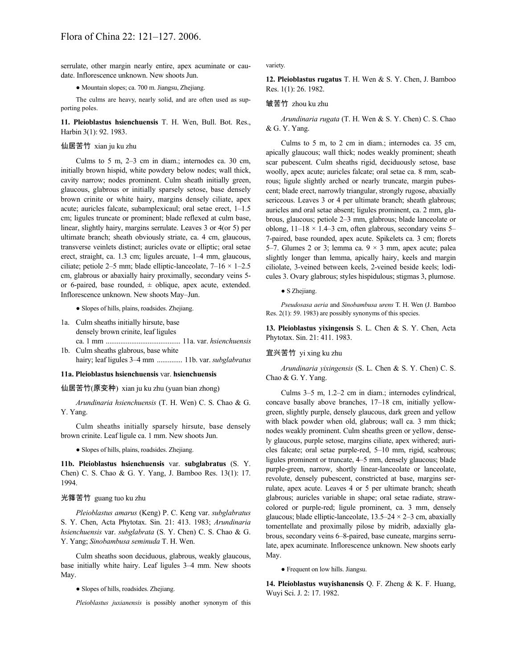serrulate, other margin nearly entire, apex acuminate or caudate. Inflorescence unknown. New shoots Jun.

● Mountain slopes; ca. 700 m. Jiangsu, Zhejiang.

The culms are heavy, nearly solid, and are often used as supporting poles.

**11. Pleioblastus hsienchuensis** T. H. Wen, Bull. Bot. Res., Harbin 3(1): 92. 1983.

#### 仙居苦竹 xian ju ku zhu

Culms to 5 m, 2–3 cm in diam.; internodes ca. 30 cm, initially brown hispid, white powdery below nodes; wall thick, cavity narrow; nodes prominent. Culm sheath initially green, glaucous, glabrous or initially sparsely setose, base densely brown crinite or white hairy, margins densely ciliate, apex acute; auricles falcate, subamplexicaul; oral setae erect, 1–1.5 cm; ligules truncate or prominent; blade reflexed at culm base, linear, slightly hairy, margins serrulate. Leaves 3 or 4(or 5) per ultimate branch; sheath obviously striate, ca. 4 cm, glaucous, transverse veinlets distinct; auricles ovate or elliptic; oral setae erect, straight, ca. 1.3 cm; ligules arcuate, 1–4 mm, glaucous, ciliate; petiole 2–5 mm; blade elliptic-lanceolate,  $7-16 \times 1-2.5$ cm, glabrous or abaxially hairy proximally, secondary veins 5 or 6-paired, base rounded,  $\pm$  oblique, apex acute, extended. Inflorescence unknown. New shoots May–Jun.

● Slopes of hills, plains, roadsides. Zhejiang.

- 1a. Culm sheaths initially hirsute, base densely brown crinite, leaf ligules ca. 1 mm ......................................... 11a. var. *hsienchuensis*
- 1b. Culm sheaths glabrous, base white
- hairy; leaf ligules 3–4 mm .............. 11b. var. *subglabratus*

#### **11a. Pleioblastus hsienchuensis** var. **hsienchuensis**

仙居苦竹(原变种) xian ju ku zhu (yuan bian zhong)

*Arundinaria hsienchuensis* (T. H. Wen) C. S. Chao & G. Y. Yang.

Culm sheaths initially sparsely hirsute, base densely brown crinite. Leaf ligule ca. 1 mm. New shoots Jun.

● Slopes of hills, plains, roadsides. Zhejiang.

**11b. Pleioblastus hsienchuensis** var. **subglabratus** (S. Y. Chen) C. S. Chao & G. Y. Yang, J. Bamboo Res. 13(1): 17. 1994.

### 光箨苦竹 guang tuo ku zhu

*Pleioblastus amarus* (Keng) P. C. Keng var. *subglabratus* S. Y. Chen, Acta Phytotax. Sin. 21: 413. 1983; *Arundinaria hsienchuensis* var. *subglabrata* (S. Y. Chen) C. S. Chao & G. Y. Yang; *Sinobambusa seminuda* T. H. Wen.

Culm sheaths soon deciduous, glabrous, weakly glaucous, base initially white hairy. Leaf ligules 3–4 mm. New shoots May.

• Slopes of hills, roadsides. Zhejiang.

*Pleioblastus juxianensis* is possibly another synonym of this

variety.

**12. Pleioblastus rugatus** T. H. Wen & S. Y. Chen, J. Bamboo Res. 1(1): 26. 1982.

#### 皱苦竹 zhou ku zhu

*Arundinaria rugata* (T. H. Wen & S. Y. Chen) C. S. Chao & G. Y. Yang.

Culms to 5 m, to 2 cm in diam.; internodes ca. 35 cm, apically glaucous; wall thick; nodes weakly prominent; sheath scar pubescent. Culm sheaths rigid, deciduously setose, base woolly, apex acute; auricles falcate; oral setae ca. 8 mm, scabrous; ligule slightly arched or nearly truncate, margin pubescent; blade erect, narrowly triangular, strongly rugose, abaxially sericeous. Leaves 3 or 4 per ultimate branch; sheath glabrous; auricles and oral setae absent; ligules prominent, ca. 2 mm, glabrous, glaucous; petiole 2–3 mm, glabrous; blade lanceolate or oblong,  $11-18 \times 1.4-3$  cm, often glabrous, secondary veins 5-7-paired, base rounded, apex acute. Spikelets ca. 3 cm; florets 5–7. Glumes 2 or 3; lemma ca.  $9 \times 3$  mm, apex acute; palea slightly longer than lemma, apically hairy, keels and margin ciliolate, 3-veined between keels, 2-veined beside keels; lodicules 3. Ovary glabrous; styles hispidulous; stigmas 3, plumose.

#### ● S Zhejiang.

*Pseudosasa aeria* and *Sinobambusa urens* T. H. Wen (J. Bamboo Res. 2(1): 59. 1983) are possibly synonyms of this species.

**13. Pleioblastus yixingensis** S. L. Chen & S. Y. Chen, Acta Phytotax. Sin. 21: 411. 1983.

#### 宜兴苦竹 yi xing ku zhu

*Arundinaria yixingensis* (S. L. Chen & S. Y. Chen) C. S. Chao & G. Y. Yang.

Culms 3–5 m, 1.2–2 cm in diam.; internodes cylindrical, concave basally above branches, 17–18 cm, initially yellowgreen, slightly purple, densely glaucous, dark green and yellow with black powder when old, glabrous; wall ca. 3 mm thick; nodes weakly prominent. Culm sheaths green or yellow, densely glaucous, purple setose, margins ciliate, apex withered; auricles falcate; oral setae purple-red, 5–10 mm, rigid, scabrous; ligules prominent or truncate, 4–5 mm, densely glaucous; blade purple-green, narrow, shortly linear-lanceolate or lanceolate, revolute, densely pubescent, constricted at base, margins serrulate, apex acute. Leaves 4 or 5 per ultimate branch; sheath glabrous; auricles variable in shape; oral setae radiate, strawcolored or purple-red; ligule prominent, ca. 3 mm, densely glaucous; blade elliptic-lanceolate,  $13.5-24 \times 2-3$  cm, abaxially tomentellate and proximally pilose by midrib, adaxially glabrous, secondary veins 6–8-paired, base cuneate, margins serrulate, apex acuminate. Inflorescence unknown. New shoots early May.

• Frequent on low hills. Jiangsu.

**14. Pleioblastus wuyishanensis** Q. F. Zheng & K. F. Huang, Wuyi Sci. J. 2: 17. 1982.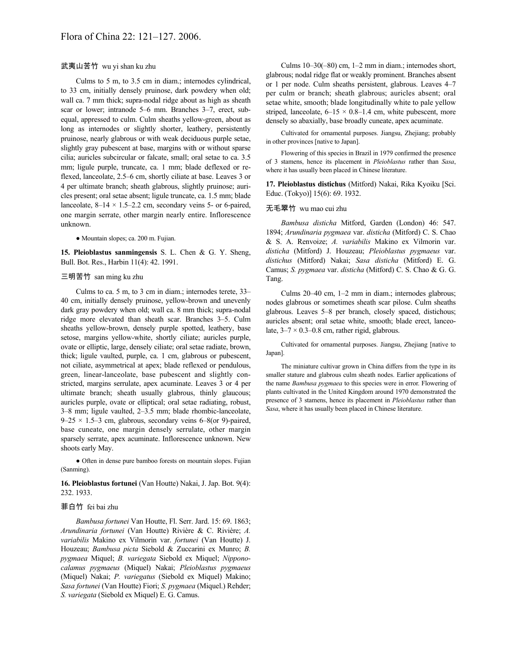### 武夷山苦竹 wu yi shan ku zhu

Culms to 5 m, to 3.5 cm in diam.; internodes cylindrical, to 33 cm, initially densely pruinose, dark powdery when old; wall ca. 7 mm thick; supra-nodal ridge about as high as sheath scar or lower; intranode 5–6 mm. Branches 3–7, erect, subequal, appressed to culm. Culm sheaths yellow-green, about as long as internodes or slightly shorter, leathery, persistently pruinose, nearly glabrous or with weak deciduous purple setae, slightly gray pubescent at base, margins with or without sparse cilia; auricles subcircular or falcate, small; oral setae to ca. 3.5 mm; ligule purple, truncate, ca. 1 mm; blade deflexed or reflexed, lanceolate, 2.5–6 cm, shortly ciliate at base. Leaves 3 or 4 per ultimate branch; sheath glabrous, slightly pruinose; auricles present; oral setae absent; ligule truncate, ca. 1.5 mm; blade lanceolate,  $8-14 \times 1.5-2.2$  cm, secondary veins 5- or 6-paired, one margin serrate, other margin nearly entire. Inflorescence unknown.

● Mountain slopes; ca. 200 m. Fujian.

**15. Pleioblastus sanmingensis** S. L. Chen & G. Y. Sheng, Bull. Bot. Res., Harbin 11(4): 42. 1991.

### 三明苦竹 san ming ku zhu

Culms to ca. 5 m, to 3 cm in diam.; internodes terete, 33– 40 cm, initially densely pruinose, yellow-brown and unevenly dark gray powdery when old; wall ca. 8 mm thick; supra-nodal ridge more elevated than sheath scar. Branches 3–5. Culm sheaths yellow-brown, densely purple spotted, leathery, base setose, margins yellow-white, shortly ciliate; auricles purple, ovate or elliptic, large, densely ciliate; oral setae radiate, brown, thick; ligule vaulted, purple, ca. 1 cm, glabrous or pubescent, not ciliate, asymmetrical at apex; blade reflexed or pendulous, green, linear-lanceolate, base pubescent and slightly constricted, margins serrulate, apex acuminate. Leaves 3 or 4 per ultimate branch; sheath usually glabrous, thinly glaucous; auricles purple, ovate or elliptical; oral setae radiating, robust, 3–8 mm; ligule vaulted, 2–3.5 mm; blade rhombic-lanceolate,  $9-25 \times 1.5-3$  cm, glabrous, secondary veins 6–8(or 9)-paired, base cuneate, one margin densely serrulate, other margin sparsely serrate, apex acuminate. Inflorescence unknown. New shoots early May.

● Often in dense pure bamboo forests on mountain slopes. Fujian (Sanming).

### **16. Pleioblastus fortunei** (Van Houtte) Nakai, J. Jap. Bot. 9(4): 232. 1933.

### 菲白竹 fei bai zhu

*Bambusa fortunei* Van Houtte, Fl. Serr. Jard. 15: 69. 1863; *Arundinaria fortunei* (Van Houtte) Rivière & C. Rivière; *A. variabilis* Makino ex Vilmorin var. *fortunei* (Van Houtte) J. Houzeau; *Bambusa picta* Siebold & Zuccarini ex Munro; *B. pygmaea* Miquel; *B. variegata* Siebold ex Miquel; *Nipponocalamus pygmaeus* (Miquel) Nakai; *Pleioblastus pygmaeus* (Miquel) Nakai; *P. variegatus* (Siebold ex Miquel) Makino; *Sasa fortunei* (Van Houtte) Fiori; *S. pygmaea* (Miquel.) Rehder; *S. variegata* (Siebold ex Miquel) E. G. Camus.

Culms 10–30(–80) cm, 1–2 mm in diam.; internodes short, glabrous; nodal ridge flat or weakly prominent. Branches absent or 1 per node. Culm sheaths persistent, glabrous. Leaves 4–7 per culm or branch; sheath glabrous; auricles absent; oral setae white, smooth; blade longitudinally white to pale yellow striped, lanceolate,  $6-15 \times 0.8-1.4$  cm, white pubescent, more densely so abaxially, base broadly cuneate, apex acuminate.

Cultivated for ornamental purposes. Jiangsu, Zhejiang; probably in other provinces [native to Japan].

Flowering of this species in Brazil in 1979 confirmed the presence of 3 stamens, hence its placement in *Pleioblastus* rather than *Sasa*, where it has usually been placed in Chinese literature.

**17. Pleioblastus distichus** (Mitford) Nakai, Rika Kyoiku [Sci. Educ. (Tokyo)] 15(6): 69. 1932.

# 无毛翠竹 wu mao cui zhu

*Bambusa disticha* Mitford, Garden (London) 46: 547. 1894; *Arundinaria pygmaea* var. *disticha* (Mitford) C. S. Chao & S. A. Renvoize; *A. variabilis* Makino ex Vilmorin var. *disticha* (Mitford) J. Houzeau; *Pleioblastus pygmaeus* var. *distichus* (Mitford) Nakai; *Sasa disticha* (Mitford) E. G. Camus; *S. pygmaea* var. *disticha* (Mitford) C. S. Chao & G. G. Tang.

Culms 20–40 cm, 1–2 mm in diam.; internodes glabrous; nodes glabrous or sometimes sheath scar pilose. Culm sheaths glabrous. Leaves 5–8 per branch, closely spaced, distichous; auricles absent; oral setae white, smooth; blade erect, lanceolate,  $3-7 \times 0.3-0.8$  cm, rather rigid, glabrous.

Cultivated for ornamental purposes. Jiangsu, Zhejiang [native to Japan].

The miniature cultivar grown in China differs from the type in its smaller stature and glabrous culm sheath nodes. Earlier applications of the name *Bambusa pygmaea* to this species were in error. Flowering of plants cultivated in the United Kingdom around 1970 demonstrated the presence of 3 stamens, hence its placement in *Pleioblastus* rather than *Sasa*, where it has usually been placed in Chinese literature.